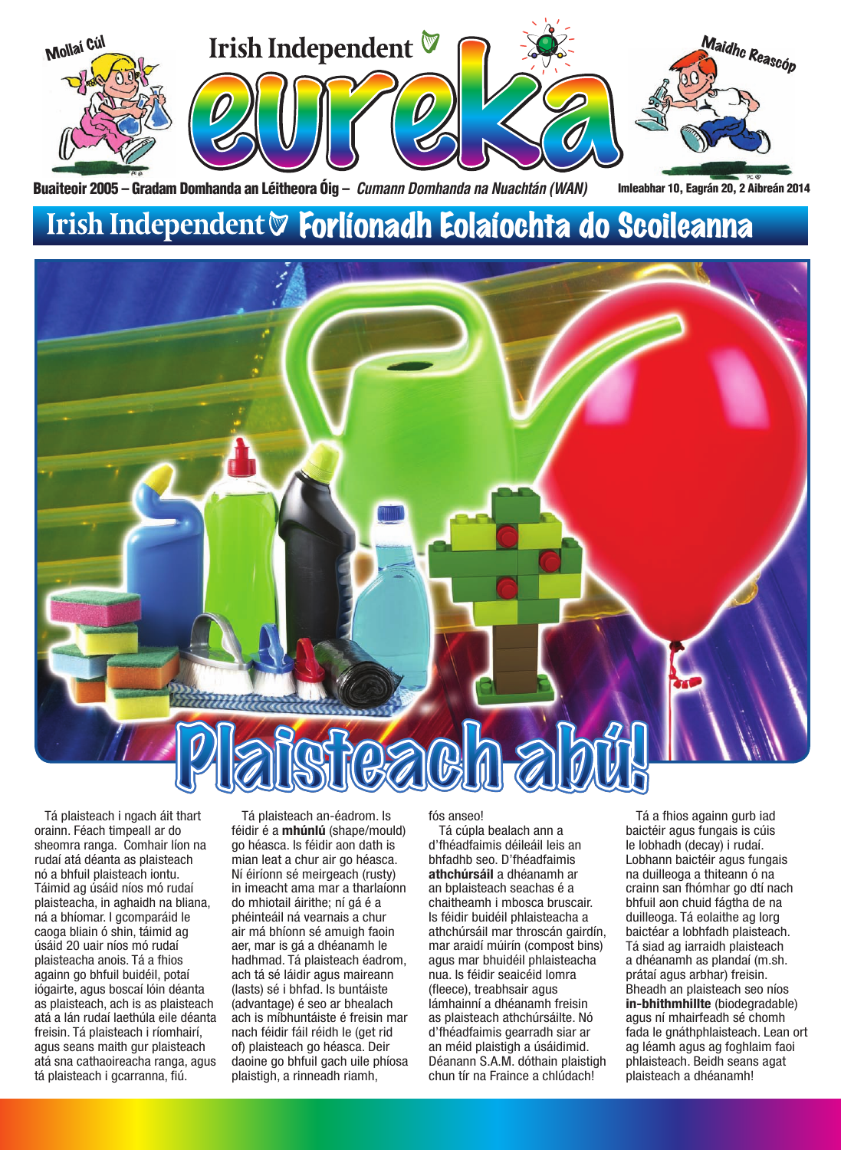

Buaiteoir 2005 – Gradam Domhanda an Léitheora Óig – *Cumann Domhanda na Nuachtán (WAN)* Imleabhar 10, Eagrán 20, 2 Aibreán 2014

### Irish Independent & Forlíonadh Eolaíochta do Scoileanna



Tá plaisteach i ngach áit thart orainn. Féach timpeall ar do sheomra ranga. Comhair líon na rudaí atá déanta as plaisteach nó a bhfuil plaisteach iontu. Táimid ag úsáid níos mó rudaí plaisteacha, in aghaidh na bliana, ná a bhíomar. I gcomparáid le caoga bliain ó shin, táimid ag úsáid 20 uair níos mó rudaí plaisteacha anois. Tá a fhios againn go bhfuil buidéil, potaí iógairte, agus boscaí lóin déanta as plaisteach, ach is as plaisteach atá a lán rudaí laethúla eile déanta freisin. Tá plaisteach i ríomhairí, agus seans maith gur plaisteach atá sna cathaoireacha ranga, agus tá plaisteach i gcarranna, fiú.

Tá plaisteach an-éadrom. Is féidir é a **mhúnlú** (shape/mould) go héasca. Is féidir aon dath is mian leat a chur air go héasca. Ní éiríonn sé meirgeach (rusty) in imeacht ama mar a tharlaíonn do mhiotail áirithe; ní gá é a phéinteáil ná vearnais a chur air má bhíonn sé amuigh faoin aer, mar is gá a dhéanamh le hadhmad. Tá plaisteach éadrom, ach tá sé láidir agus maireann (lasts) sé i bhfad. Is buntáiste (advantage) é seo ar bhealach ach is míbhuntáiste é freisin mar nach féidir fáil réidh le (get rid of) plaisteach go héasca. Deir daoine go bhfuil gach uile phíosa plaistigh, a rinneadh riamh,

fós anseo!

Tá cúpla bealach ann a d'fhéadfaimis déileáil leis an bhfadhb seo. D'fhéadfaimis **athchúrsáil** a dhéanamh ar an bplaisteach seachas é a chaitheamh i mbosca bruscair. Is féidir buidéil phlaisteacha a athchúrsáil mar throscán gairdín, mar araidí múirín (compost bins) agus mar bhuidéil phlaisteacha nua. Is féidir seaicéid lomra (fleece), treabhsair agus lámhainní a dhéanamh freisin as plaisteach athchúrsáilte. Nó d'fhéadfaimis gearradh siar ar an méid plaistigh a úsáidimid. Déanann S.A.M. dóthain plaistigh chun tír na Fraince a chlúdach!

Tá a fhios againn gurb iad baictéir agus fungais is cúis le lobhadh (decay) i rudaí. Lobhann baictéir agus fungais na duilleoga a thiteann ó na crainn san fhómhar go dtí nach bhfuil aon chuid fágtha de na duilleoga. Tá eolaithe ag lorg baictéar a lobhfadh plaisteach. Tá siad ag iarraidh plaisteach a dhéanamh as plandaí (m.sh. prátaí agus arbhar) freisin. Bheadh an plaisteach seo níos **in-bhithmhillte** (biodegradable) agus ní mhairfeadh sé chomh fada le gnáthphlaisteach. Lean ort ag léamh agus ag foghlaim faoi phlaisteach. Beidh seans agat plaisteach a dhéanamh!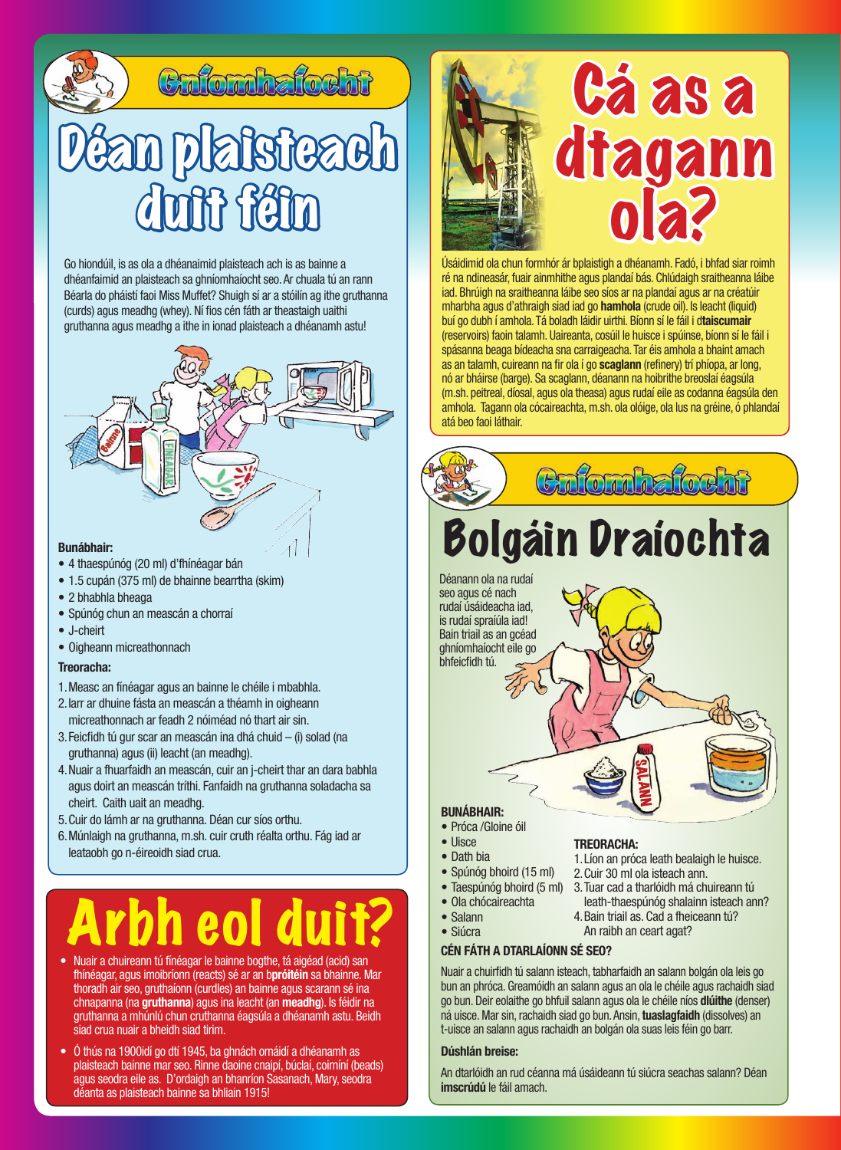

Go hiondúil, is as ola a dhéanaimid plaisteach ach is as bainne a dhéanfaimid an plaisteach sa ghníomhaíocht seo. Ar chuala tú an rann Béarla do pháistí faoi Miss Muffet? Shuigh sí ar a stóilín ag ithe gruthanna (curds) agus meadhg (whey). Ní fios cén fáth ar theastaigh uaithi gruthanna agus meadhg a ithe in ionad plaisteach a dhéanamh astu!



#### **Bunábhair:**

- • 4 thaespúnóg (20 ml) d'fhínéagar bán
- • 1.5 cupán (375 ml) de bhainne bearrtha (skim)
- 2 bhabhla bheaga
- Spúnóg chun an meascán a chorraí
- • J-cheirt
- • Oigheann micreathonnach

#### **Treoracha:**

- 1.Measc an fínéagar agus an bainne le chéile i mbabhla.
- 2.Iarr ar dhuine fásta an meascán a théamh in oigheann micreathonnach ar feadh 2 nóiméad nó thart air sin.
- 3. Feicfidh tú gur scar an meascán ina dhá chuid  $-$  (i) solad (na gruthanna) agus (ii) leacht (an meadhg).
- 4.Nuair a fhuarfaidh an meascán, cuir an j-cheirt thar an dara babhla agus doirt an meascán tríthi. Fanfaidh na gruthanna soladacha sa cheirt. Caith uait an meadhg.
- 5.Cuir do lámh ar na gruthanna. Déan cur síos orthu.
- 6.Múnlaigh na gruthanna, m.sh. cuir cruth réalta orthu. Fág iad ar leataobh go n-éireoidh siad crua.

## Arbh eol duit?

- Nuair a chuireann tú fínéagar le bainne bogthe, tá aigéad (acid) san fhínéagar, agus imoibríonn (reacts) sé ar an b**próitéin** sa bhainne. Mar thoradh air seo, gruthaíonn (curdles) an bainne agus scarann sé ina chnapanna (na **gruthanna**) agus ina leacht (an **meadhg**). Is féidir na gruthanna a mhúnlú chun cruthanna éagsúla a dhéanamh astu. Beidh siad crua nuair a bheidh siad tirim.
- • Ó thús na 1900idí go dtí 1945, ba ghnách ornáidí a dhéanamh as plaisteach bainne mar seo. Rinne daoine cnaipí, búclaí, coirníní (beads) agus seodra eile as. D'ordaigh an bhanríon Sasanach, Mary, seodra déanta as plaisteach bainne sa bhliain 1915!



Úsáidimid ola chun formhór ár bplaistigh a dhéanamh. Fadó, i bhfad siar roimh ré na ndineasár, fuair ainmhithe agus plandaí bás. Chlúdaigh sraitheanna láibe iad. Bhrúigh na sraitheanna láibe seo síos ar na plandaí agus ar na créatúir mharbha agus d'athraigh siad iad go **hamhola** (crude oil). Is leacht (liquid) buí go dubh í amhola. Tá boladh láidir uirthi. Bíonn sí le fáil i d**taiscumair** (reservoirs) faoin talamh. Uaireanta, cosúil le huisce i spúinse, bíonn sí le fáil i spásanna beaga bídeacha sna carraigeacha. Tar éis amhola a bhaint amach as an talamh, cuireann na fir ola í go **scaglann** (refinery) trí phíopa, ar long, nó ar bháirse (barge). Sa scaglann, déanann na hoibrithe breoslaí éagsúla (m.sh. peitreal, díosal, agus ola theasa) agus rudaí eile as codanna éagsúla den amhola. Tagann ola cócaireachta, m.sh. ola olóige, ola lus na gréine, ó phlandaí atá beo faoi láthair.

# Bolgáin Draíochta

Crionhaíocht

Déanann ola na rudaí seo agus cé nach rudaí úsáideacha iad, is rudaí spraíúla iad! Bain triail as an gcéad ghníomhaíocht eile go bhfeicfidh tú.

#### **BUNÁBHAIR:**

- • Próca /Gloine óil
- • Uisce
- Dath bia
- • Spúnóg bhoird (15 ml)
- • Taespúnóg bhoird (5 ml)
- • Ola chócaireachta
- • Salann
- • Siúcra
- 1.Líon an próca leath bealaigh le huisce.
- 2. Cuir 30 ml ola isteach ann.
- 3. Tuar cad a tharlóidh má chuireann tú
- leath-thaespúnóg shalainn isteach ann? 4.Bain triail as. Cad a fheiceann tú?
- An raibh an ceart agat?

#### **CÉN FÁTH A DTARLAÍONN SÉ SEO?**

Nuair a chuirfidh tú salann isteach, tabharfaidh an salann bolgán ola leis go bun an phróca. Greamóidh an salann agus an ola le chéile agus rachaidh siad go bun. Deir eolaithe go bhfuil salann agus ola le chéile níos **dlúithe** (denser) ná uisce. Mar sin, rachaidh siad go bun. Ansin, **tuaslagfaidh** (dissolves) an t-uisce an salann agus rachaidh an bolgán ola suas leis féin go barr.

#### **Dúshlán breise:**

An dtarlóidh an rud céanna má úsáideann tú siúcra seachas salann? Déan **imscrúdú** le fáil amach.

**TREORACHA:**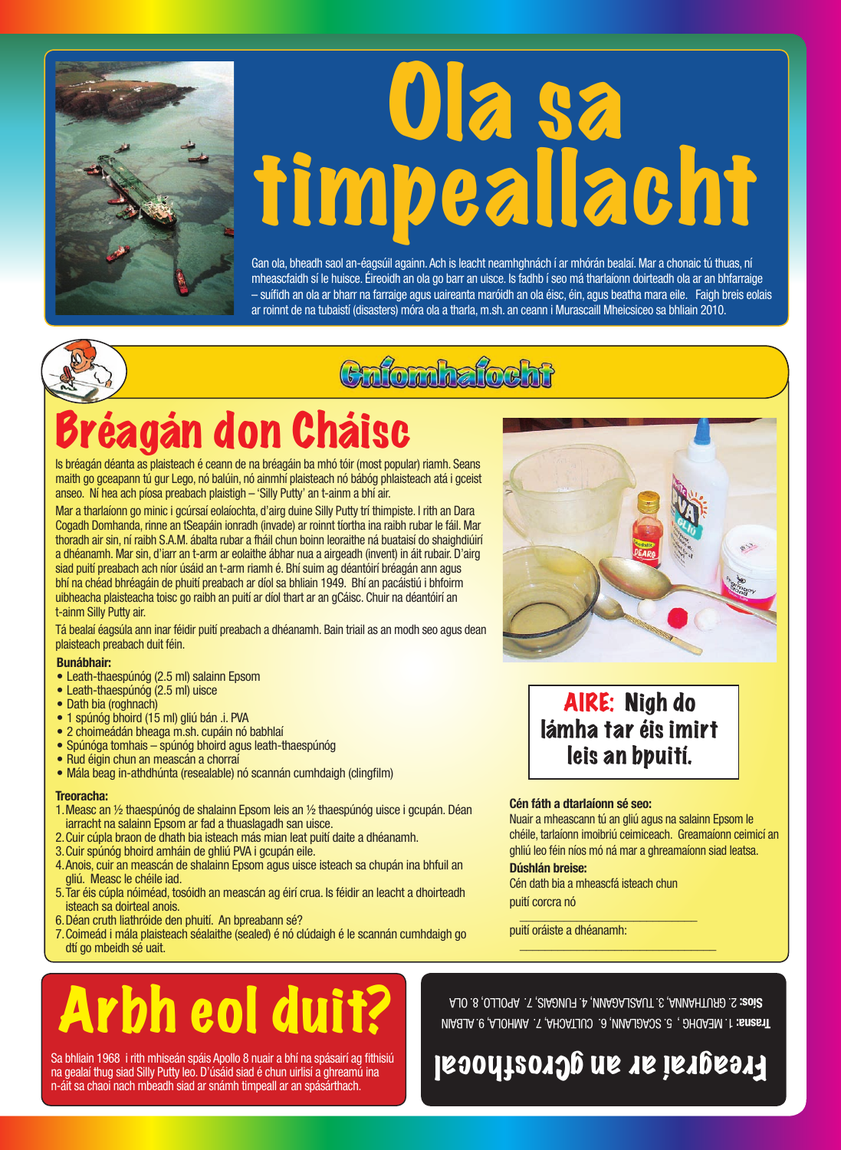

# Ola sa timpeallacht

Gan ola, bheadh saol an-éagsúil againn. Ach is leacht neamhghnách í ar mhórán bealaí. Mar a chonaic tú thuas, ní mheascfaidh sí le huisce. Éireoidh an ola go barr an uisce. Is fadhb í seo má tharlaíonn doirteadh ola ar an bhfarraige - suífidh an ola ar bharr na farraige agus uaireanta maróidh an ola éisc, éin, agus beatha mara eile. Faigh breis eolais ar roinnt de na tubaistí (disasters) móra ola a tharla, m.sh. an ceann i Murascaill Mheicsiceo sa bhliain 2010.



### Cnfomhafocht

## Bréagán don Cháisc

Is bréagán déanta as plaisteach é ceann de na bréagáin ba mhó tóir (most popular) riamh. Seans maith go gceapann tú gur Lego, nó balúin, nó ainmhí plaisteach nó bábóg phlaisteach atá i gceist anseo. Ní hea ach píosa preabach plaistigh – 'Silly Putty' an t-ainm a bhí air.

Mar a tharlaíonn go minic i gcúrsaí eolaíochta, d'airg duine Silly Putty trí thimpiste. I rith an Dara Cogadh Domhanda, rinne an tSeapáin ionradh (invade) ar roinnt tíortha ina raibh rubar le fáil. Mar thoradh air sin, ní raibh S.A.M. ábalta rubar a fháil chun boinn leoraithe ná buataisí do shaighdiúirí a dhéanamh. Mar sin, d'iarr an t-arm ar eolaithe ábhar nua a airgeadh (invent) in áit rubair. D'airg siad puití preabach ach níor úsáid an t-arm riamh é. Bhí suim ag déantóirí bréagán ann agus bhí na chéad bhréagáin de phuití preabach ar díol sa bhliain 1949. Bhí an pacáistiú i bhfoirm uibheacha plaisteacha toisc go raibh an puití ar díol thart ar an gCáisc. Chuir na déantóirí an t-ainm Silly Putty air.

Tá bealaí éagsúla ann inar féidir puití preabach a dhéanamh. Bain triail as an modh seo agus dean plaisteach preabach duit féin.

#### **Bunábhair:**

- • Leath-thaespúnóg (2.5 ml) salainn Epsom
- • Leath-thaespúnóg (2.5 ml) uisce
- Dath bia (roghnach)
- • 1 spúnóg bhoird (15 ml) gliú bán .i. PVA
- • 2 choimeádán bheaga m.sh. cupáin nó babhlaí
- • Spúnóga tomhais – spúnóg bhoird agus leath-thaespúnóg
- Rud éigin chun an meascán a chorraí
- Mála beag in-athdhúnta (resealable) nó scannán cumhdaigh (clingfilm)

#### **Treoracha:**

- 1. Measc an  $\frac{1}{2}$  thaespúnóg de shalainn Epsom leis an  $\frac{1}{2}$  thaespúnóg uisce i gcupán. Déan iarracht na salainn Epsom ar fad a thuaslagadh san uisce.
- 2.Cuir cúpla braon de dhath bia isteach más mian leat puití daite a dhéanamh.
- 3. Cuir spúnóg bhoird amháin de ghliú PVA i gcupán eile.
- 4. Anois, cuir an meascán de shalainn Epsom agus uisce isteach sa chupán ina bhfuil an gliú. Measc le chéile iad.
- 5.Tar éis cúpla nóiméad, tosóidh an meascán ag éirí crua. Is féidir an leacht a dhoirteadh isteach sa doirteal anois.
- 6.Déan cruth liathróide den phuití. An bpreabann sé?
- 7. Coimeád i mála plaisteach séalaithe (sealed) é nó clúdaigh é le scannán cumhdaigh go dtí go mbeidh sé uait.

\_\_\_\_\_\_\_\_\_\_\_\_\_\_\_\_\_\_\_\_\_\_\_\_\_\_\_\_ puití oráiste a dhéanamh:

# Arbh eol duit?

Sa bhliain 1968 i rith mhiseán spáis Apollo 8 nuair a bhí na spásairí ag fithisiú na gealaí thug siad Silly Putty leo. D'úsáid siad é chun uirlisí a ghreamú ina n-áit sa chaoi nach mbeadh siad ar snámh timpeall ar an spásárthach.

#### Trasna: 1. NEADHG, 5. SCAGLANA, 6. CULTACHA, 7. AMHOLA, 9. ALBAIN Síos: 2. GRUTHANA, 3. TUASLAGANN, 4. FUNGAIS, 7. APOLLO, 8. OLA

\_\_\_\_\_\_\_\_\_\_\_\_\_\_\_\_\_\_\_\_\_\_\_\_\_\_\_\_\_\_\_

### Freagraí ar an gCrosfhocal

#### **AIRE: Nigh do** lámha tar éis imirt leis an bpuití.

#### **Cén fáth a dtarlaíonn sé seo:**

Nuair a mheascann tú an gliú agus na salainn Epsom le chéile, tarlaíonn imoibriú ceimiceach. Greamaíonn ceimicí an ghliú leo féin níos mó ná mar a ghreamaíonn siad leatsa.

#### **Dúshlán breise:**

Cén dath bia a mheascfá isteach chun

puití corcra nó